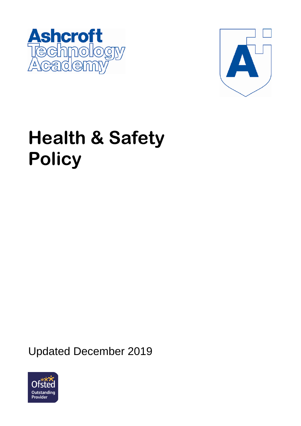



# **Health & Safety Policy**

Updated December 2019

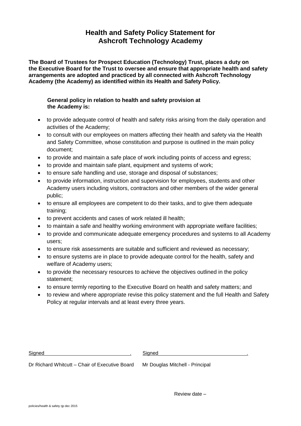# **Health and Safety Policy Statement for Ashcroft Technology Academy**

**The Board of Trustees for Prospect Education (Technology) Trust, places a duty on the Executive Board for the Trust to oversee and ensure that appropriate health and safety arrangements are adopted and practiced by all connected with Ashcroft Technology Academy (the Academy) as identified within its Health and Safety Policy.**

# **General policy in relation to health and safety provision at the Academy is:**

- to provide adequate control of health and safety risks arising from the daily operation and activities of the Academy;
- to consult with our employees on matters affecting their health and safety via the Health and Safety Committee, whose constitution and purpose is outlined in the main policy document;
- to provide and maintain a safe place of work including points of access and egress;
- to provide and maintain safe plant, equipment and systems of work;
- to ensure safe handling and use, storage and disposal of substances;
- to provide information, instruction and supervision for employees, students and other Academy users including visitors, contractors and other members of the wider general public;
- to ensure all employees are competent to do their tasks, and to give them adequate training;
- to prevent accidents and cases of work related ill health;
- to maintain a safe and healthy working environment with appropriate welfare facilities;
- to provide and communicate adequate emergency procedures and systems to all Academy users;
- to ensure risk assessments are suitable and sufficient and reviewed as necessary;
- to ensure systems are in place to provide adequate control for the health, safety and welfare of Academy users;
- to provide the necessary resources to achieve the objectives outlined in the policy statement;
- to ensure termly reporting to the Executive Board on health and safety matters; and
- to review and where appropriate revise this policy statement and the full Health and Safety Policy at regular intervals and at least every three years.

Signed . Signed .

Dr Richard Whitcutt – Chair of Executive Board Mr Douglas Mitchell - Principal

Review date –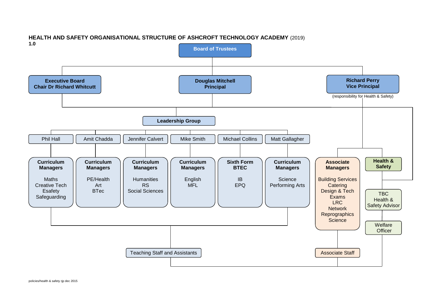

# **HEALTH AND SAFETY ORGANISATIONAL STRUCTURE OF ASHCROFT TECHNOLOGY ACADEMY** (2019)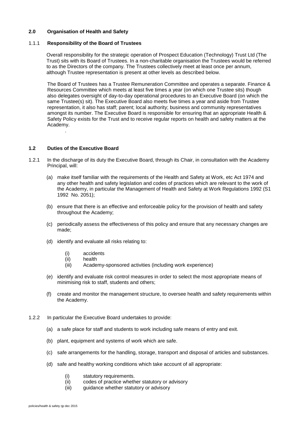# **2.0 Organisation of Health and Safety**

#### 1.1.1 **Responsibility of the Board of Trustees**

Overall responsibility for the strategic operation of Prospect Education (Technology) Trust Ltd (The Trust) sits with its Board of Trustees. In a non-charitable organisation the Trustees would be referred to as the Directors of the company. The Trustees collectively meet at least once per annum, although Trustee representation is present at other levels as described below.

The Board of Trustees has a Trustee Remuneration Committee and operates a separate. Finance & Resources Committee which meets at least five times a year (on which one Trustee sits) though also delegates oversight of day-to-day operational procedures to an Executive Board (on which the same Trustee(s) sit). The Executive Board also meets five times a year and aside from Trustee representation, it also has staff; parent; local authority; business and community representatives amongst its number. The Executive Board is responsible for ensuring that an appropriate Health & Safety Policy exists for the Trust and to receive regular reports on health and safety matters at the Academy.

# **1.2 Duties of the Executive Board**

.

- 1.2.1 In the discharge of its duty the Executive Board, through its Chair, in consultation with the Academy Principal, will:
	- (a) make itself familiar with the requirements of the Health and Safety at Work, etc Act 1974 and any other health and safety legislation and codes of practices which are relevant to the work of the Academy, in particular the Management of Health and Safety at Work Regulations 1992 (S1 1992 No. 2051);
	- (b) ensure that there is an effective and enforceable policy for the provision of health and safety throughout the Academy;
	- (c) periodically assess the effectiveness of this policy and ensure that any necessary changes are made;
	- (d) identify and evaluate all risks relating to:
		- (i) accidents
		- (ii) health
		- (iii) Academy-sponsored activities (including work experience)
	- (e) identify and evaluate risk control measures in order to select the most appropriate means of minimising risk to staff, students and others;
	- (f) create and monitor the management structure, to oversee health and safety requirements within the Academy.
- 1.2.2 In particular the Executive Board undertakes to provide:
	- (a) a safe place for staff and students to work including safe means of entry and exit.
	- (b) plant, equipment and systems of work which are safe.
	- (c) safe arrangements for the handling, storage, transport and disposal of articles and substances.
	- (d) safe and healthy working conditions which take account of all appropriate:
		- (i) statutory requirements.
		- (ii) codes of practice whether statutory or advisory
		- (iii) guidance whether statutory or advisory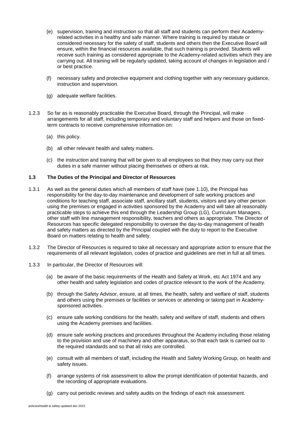- (e) supervision, training and instruction so that all staff and students can perform their Academyrelated activities in a healthy and safe manner. Where training is required by statute or considered necessary for the safety of staff, students and others then the Executive Board will ensure, within the financial resources available, that such training is provided. Students will receive such training as considered appropriate to the Academy-related activities which they are carrying out. All training will be regularly updated, taking account of changes in legislation and / or best practice.
- (f) necessary safety and protective equipment and clothing together with any necessary guidance, instruction and supervision.
- (g) adequate welfare facilities.
- 1.2.3 So far as is reasonably practicable the Executive Board, through the Principal, will make arrangements for all staff, including temporary and voluntary staff and helpers and those on fixedterm contracts to receive comprehensive information on:
	- (a) this policy.
	- (b) all other relevant health and safety matters.
	- (c) the instruction and training that will be given to all employees so that they may carry out their duties in a safe manner without placing themselves or others at risk.

#### **1.3 The Duties of the Principal and Director of Resources**

- 1.3.1 As well as the general duties which all members of staff have (see 1.10), the Principal has responsibility for the day-to-day maintenance and development of safe working practices and conditions for teaching staff, associate staff, ancillary staff, students, visitors and any other person using the premises or engaged in activities sponsored by the Academy and will take all reasonably practicable steps to achieve this end through the Leadership Group (LG), Curriculum Managers, other staff with line management responsibility, teachers and others as appropriate. The Director of Resources has specific delegated responsibility to oversee the day-to-day management of health and safety matters as directed by the Principal coupled with the duty to report to the Executive Board on matters relating to health and safety.
- 1.3.2 The Director of Resources is required to take all necessary and appropriate action to ensure that the requirements of all relevant legislation, codes of practice and guidelines are met in full at all times.
- 1.3.3 In particular, the Director of Resources will:
	- (a) be aware of the basic requirements of the Health and Safety at Work, etc Act 1974 and any other health and safety legislation and codes of practice relevant to the work of the Academy.
	- (b) through the Safety Advisor, ensure, at all times, the health, safety and welfare of staff, students and others using the premises or facilities or services or attending or taking part in Academysponsored activities.
	- (c) ensure safe working conditions for the health, safety and welfare of staff, students and others using the Academy premises and facilities.
	- (d) ensure safe working practices and procedures throughout the Academy including those relating to the provision and use of machinery and other apparatus, so that each task is carried out to the required standards and so that all risks are controlled.
	- (e) consult with all members of staff, including the Health and Safety Working Group, on health and safety issues.
	- (f) arrange systems of risk assessment to allow the prompt identification of potential hazards, and the recording of appropriate evaluations.
	- (g) carry out periodic reviews and safety audits on the findings of each risk assessment.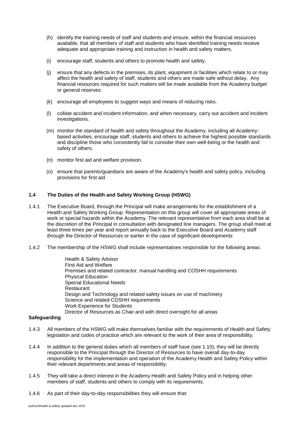- (h) identify the training needs of staff and students and ensure, within the financial resources available, that all members of staff and students who have identified training needs receive adequate and appropriate training and instruction in health and safety matters.
- (i) encourage staff, students and others to promote health and safety.
- (j) ensure that any defects in the premises, its plant, equipment or facilities which relate to or may affect the health and safety of staff, students and others are made safe without delay. Any financial resources required for such matters will be made available from the Academy budget or general reserves.
- (k) encourage all employees to suggest ways and means of reducing risks.
- (l) collate accident and incident information, and when necessary, carry out accident and incident investigations.
- (m) monitor the standard of health and safety throughout the Academy, including all Academybased activities, encourage staff, students and others to achieve the highest possible standards and discipline those who consistently fail to consider their own well-being or the health and safety of others.
- (n) monitor first aid and welfare provision.
- (o) ensure that parents/guardians are aware of the Academy's health and safety policy, including provisions for first aid.

#### **1.4 The Duties of the Health and Safety Working Group (HSWG)**

- 1.4.1 The Executive Board, through the Principal will make arrangements for the establishment of a Health and Safety Working Group. Representation on this group will cover all appropriate areas of work or special hazards within the Academy. The relevant representative from each area shall be at the discretion of the Principal in consultation with designated line managers. The group shall meet at least three times per year and report annually back to the Executive Board and Academy staff through the Director of Resources or earlier in the case of significant developments
- 1.4.2 The membership of the HSWG shall include representatives responsible for the following areas:

Health & Safety Advisor First Aid and Welfare Premises and related contractor, manual handling and COSHH requirements Physical Education Special Educational Needs **Restaurant** Design and Technology and related safety issues on use of machinery Science and related COSHH requirements Work Experience for Students Director of Resources as Chair and with direct oversight for all areas

#### **Safeguarding**

- 1.4.3 All members of the HSWG will make themselves familiar with the requirements of Health and Safety legislation and codes of practice which are relevant to the work of their area of responsibility.
- 1.4.4 In addition to the general duties which all members of staff have (see 1.10), they will be directly responsible to the Principal through the Director of Resources to have overall day-to-day responsibility for the implementation and operation of the Academy Health and Safety Policy within their relevant departments and areas of responsibility.
- 1.4.5 They will take a direct interest in the Academy Health and Safety Policy and in helping other members of staff, students and others to comply with its requirements.
- 1.4.6 As part of their day-to-day responsibilities they will ensure that: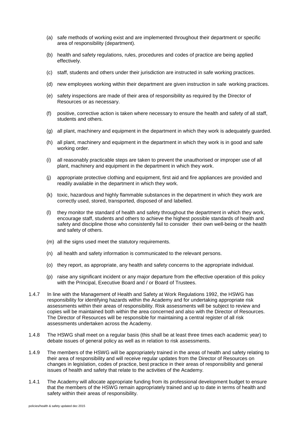- (a) safe methods of working exist and are implemented throughout their department or specific area of responsibility (department).
- (b) health and safety regulations, rules, procedures and codes of practice are being applied effectively.
- (c) staff, students and others under their jurisdiction are instructed in safe working practices.
- (d) new employees working within their department are given instruction in safe working practices.
- (e) safety inspections are made of their area of responsibility as required by the Director of Resources or as necessary.
- (f) positive, corrective action is taken where necessary to ensure the health and safety of all staff, students and others.
- (g) all plant, machinery and equipment in the department in which they work is adequately guarded.
- (h) all plant, machinery and equipment in the department in which they work is in good and safe working order.
- (i) all reasonably practicable steps are taken to prevent the unauthorised or improper use of all plant, machinery and equipment in the department in which they work.
- (j) appropriate protective clothing and equipment, first aid and fire appliances are provided and readily available in the department in which they work.
- (k) toxic, hazardous and highly flammable substances in the department in which they work are correctly used, stored, transported, disposed of and labelled.
- (l) they monitor the standard of health and safety throughout the department in which they work, encourage staff, students and others to achieve the highest possible standards of health and safety and discipline those who consistently fail to consider their own well-being or the health and safety of others.
- (m) all the signs used meet the statutory requirements.
- (n) all health and safety information is communicated to the relevant persons.
- (o) they report, as appropriate, any health and safety concerns to the appropriate individual.
- (p) raise any significant incident or any major departure from the effective operation of this policy with the Principal, Executive Board and / or Board of Trustees.
- 1.4.7 In line with the Management of Health and Safety at Work Regulations 1992, the HSWG has responsibility for identifying hazards within the Academy and for undertaking appropriate risk assessments within their areas of responsibility. Risk assessments will be subject to review and copies will be maintained both within the area concerned and also with the Director of Resources. The Director of Resources will be responsible for maintaining a central register of all risk assessments undertaken across the Academy.
- 1.4.8 The HSWG shall meet on a regular basis (this shall be at least three times each academic year) to debate issues of general policy as well as in relation to risk assessments.
- 1.4.9 The members of the HSWG will be appropriately trained in the areas of health and safety relating to their area of responsibility and will receive regular updates from the Director of Resources on changes in legislation, codes of practice, best practice in their areas of responsibility and general issues of health and safety that relate to the activities of the Academy.
- 1.4.1 The Academy will allocate appropriate funding from its professional development budget to ensure that the members of the HSWG remain appropriately trained and up to date in terms of health and safety within their areas of responsibility.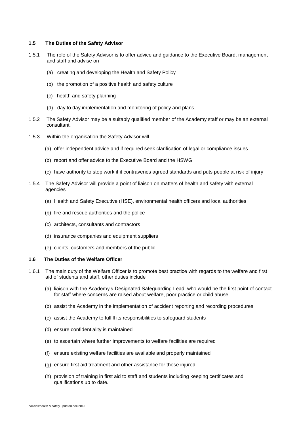# **1.5 The Duties of the Safety Advisor**

- 1.5.1 The role of the Safety Advisor is to offer advice and guidance to the Executive Board, management and staff and advise on
	- (a) creating and developing the Health and Safety Policy
	- (b) the promotion of a positive health and safety culture
	- (c) health and safety planning
	- (d) day to day implementation and monitoring of policy and plans
- 1.5.2 The Safety Advisor may be a suitably qualified member of the Academy staff or may be an external consultant.
- 1.5.3 Within the organisation the Safety Advisor will
	- (a) offer independent advice and if required seek clarification of legal or compliance issues
	- (b) report and offer advice to the Executive Board and the HSWG
	- (c) have authority to stop work if it contravenes agreed standards and puts people at risk of injury
- 1.5.4 The Safety Advisor will provide a point of liaison on matters of health and safety with external agencies
	- (a) Health and Safety Executive (HSE), environmental health officers and local authorities
	- (b) fire and rescue authorities and the police
	- (c) architects, consultants and contractors
	- (d) insurance companies and equipment suppliers
	- (e) clients, customers and members of the public

#### **1.6 The Duties of the Welfare Officer**

- 1.6.1 The main duty of the Welfare Officer is to promote best practice with regards to the welfare and first aid of students and staff, other duties include
	- (a) liaison with the Academy's Designated Safeguarding Lead who would be the first point of contact for staff where concerns are raised about welfare, poor practice or child abuse
	- (b) assist the Academy in the implementation of accident reporting and recording procedures
	- (c) assist the Academy to fulfill its responsibilities to safeguard students
	- (d) ensure confidentiality is maintained
	- (e) to ascertain where further improvements to welfare facilities are required
	- (f) ensure existing welfare facilities are available and properly maintained
	- (g) ensure first aid treatment and other assistance for those injured
	- (h) provision of training in first aid to staff and students including keeping certificates and qualifications up to date.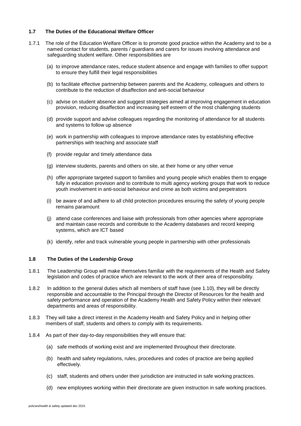# **1.7 The Duties of the Educational Welfare Officer**

- 1.7.1 The role of the Education Welfare Officer is to promote good practice within the Academy and to be a named contact for students, parents / guardians and carers for issues involving attendance and safeguarding student welfare. Other responsibilities are
	- (a) to improve attendance rates, reduce student absence and engage with families to offer support to ensure they fulfill their legal responsibilities
	- (b) to facilitate effective partnership between parents and the Academy, colleagues and others to contribute to the reduction of disaffection and anti-social behaviour
	- (c) advise on student absence and suggest strategies aimed at improving engagement in education provision, reducing disaffection and increasing self esteem of the most challenging students
	- (d) provide support and advise colleagues regarding the monitoring of attendance for all students and systems to follow up absence
	- (e) work in partnership with colleagues to improve attendance rates by establishing effective partnerships with teaching and associate staff
	- (f) provide regular and timely attendance data
	- (g) interview students, parents and others on site, at their home or any other venue
	- (h) offer appropriate targeted support to families and young people which enables them to engage fully in education provision and to contribute to multi agency working groups that work to reduce youth involvement in anti-social behaviour and crime as both victims and perpetrators
	- (i) be aware of and adhere to all child protection procedures ensuring the safety of young people remains paramount
	- (j) attend case conferences and liaise with professionals from other agencies where appropriate and maintain case records and contribute to the Academy databases and record keeping systems, which are ICT based
	- (k) identify, refer and track vulnerable young people in partnership with other professionals

# **1.8 The Duties of the Leadership Group**

- 1.8.1 The Leadership Group will make themselves familiar with the requirements of the Health and Safety legislation and codes of practice which are relevant to the work of their area of responsibility.
- 1.8.2 In addition to the general duties which all members of staff have (see 1.10), they will be directly responsible and accountable to the Principal through the Director of Resources for the health and safety performance and operation of the Academy Health and Safety Policy within their relevant departments and areas of responsibility.
- 1.8.3 They will take a direct interest in the Academy Health and Safety Policy and in helping other members of staff, students and others to comply with its requirements.
- 1.8.4 As part of their day-to-day responsibilities they will ensure that:
	- (a) safe methods of working exist and are implemented throughout their directorate.
	- (b) health and safety regulations, rules, procedures and codes of practice are being applied effectively.
	- (c) staff, students and others under their jurisdiction are instructed in safe working practices.
	- (d) new employees working within their directorate are given instruction in safe working practices.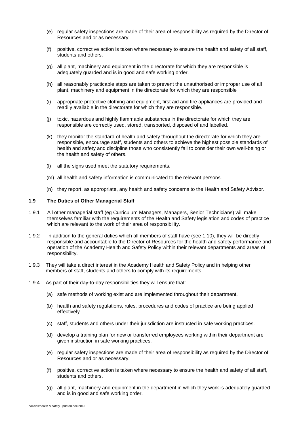- (e) regular safety inspections are made of their area of responsibility as required by the Director of Resources and or as necessary.
- (f) positive, corrective action is taken where necessary to ensure the health and safety of all staff, students and others.
- (g) all plant, machinery and equipment in the directorate for which they are responsible is adequately guarded and is in good and safe working order.
- (h) all reasonably practicable steps are taken to prevent the unauthorised or improper use of all plant, machinery and equipment in the directorate for which they are responsible
- (i) appropriate protective clothing and equipment, first aid and fire appliances are provided and readily available in the directorate for which they are responsible.
- (j) toxic, hazardous and highly flammable substances in the directorate for which they are responsible are correctly used, stored, transported, disposed of and labelled.
- (k) they monitor the standard of health and safety throughout the directorate for which they are responsible, encourage staff, students and others to achieve the highest possible standards of health and safety and discipline those who consistently fail to consider their own well-being or the health and safety of others.
- (l) all the signs used meet the statutory requirements.
- (m) all health and safety information is communicated to the relevant persons.
- (n) they report, as appropriate, any health and safety concerns to the Health and Safety Advisor.

#### **1.9 The Duties of Other Managerial Staff**

- 1.9.1 All other managerial staff (eg Curriculum Managers, Managers, Senior Technicians) will make themselves familiar with the requirements of the Health and Safety legislation and codes of practice which are relevant to the work of their area of responsibility.
- 1.9.2 In addition to the general duties which all members of staff have (see 1.10), they will be directly responsible and accountable to the Director of Resources for the health and safety performance and operation of the Academy Health and Safety Policy within their relevant departments and areas of responsibility.
- 1.9.3 They will take a direct interest in the Academy Health and Safety Policy and in helping other members of staff, students and others to comply with its requirements.
- 1.9.4 As part of their day-to-day responsibilities they will ensure that:
	- (a) safe methods of working exist and are implemented throughout their department.
	- (b) health and safety regulations, rules, procedures and codes of practice are being applied effectively.
	- (c) staff, students and others under their jurisdiction are instructed in safe working practices.
	- (d) develop a training plan for new or transferred employees working within their department are given instruction in safe working practices.
	- (e) regular safety inspections are made of their area of responsibility as required by the Director of Resources and or as necessary.
	- (f) positive, corrective action is taken where necessary to ensure the health and safety of all staff, students and others.
	- (g) all plant, machinery and equipment in the department in which they work is adequately guarded and is in good and safe working order.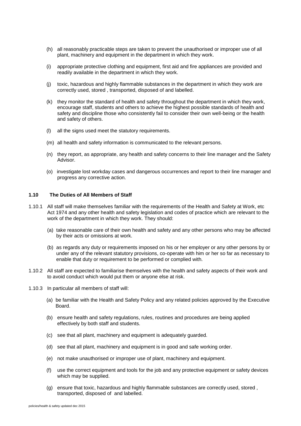- (h) all reasonably practicable steps are taken to prevent the unauthorised or improper use of all plant, machinery and equipment in the department in which they work.
- (i) appropriate protective clothing and equipment, first aid and fire appliances are provided and readily available in the department in which they work.
- (j) toxic, hazardous and highly flammable substances in the department in which they work are correctly used, stored , transported, disposed of and labelled.
- (k) they monitor the standard of health and safety throughout the department in which they work, encourage staff, students and others to achieve the highest possible standards of health and safety and discipline those who consistently fail to consider their own well-being or the health and safety of others.
- (l) all the signs used meet the statutory requirements.
- (m) all health and safety information is communicated to the relevant persons.
- (n) they report, as appropriate, any health and safety concerns to their line manager and the Safety Advisor.
- (o) investigate lost workday cases and dangerous occurrences and report to their line manager and progress any corrective action.

#### **1.10 The Duties of All Members of Staff**

- 1.10.1 All staff will make themselves familiar with the requirements of the Health and Safety at Work, etc Act 1974 and any other health and safety legislation and codes of practice which are relevant to the work of the department in which they work. They should:
	- (a) take reasonable care of their own health and safety and any other persons who may be affected by their acts or omissions at work.
	- (b) as regards any duty or requirements imposed on his or her employer or any other persons by or under any of the relevant statutory provisions, co-operate with him or her so far as necessary to enable that duty or requirement to be performed or complied with.
- 1.10.2 All staff are expected to familiarise themselves with the health and safety aspects of their work and to avoid conduct which would put them or anyone else at risk.
- 1.10.3 In particular all members of staff will:
	- (a) be familiar with the Health and Safety Policy and any related policies approved by the Executive Board.
	- (b) ensure health and safety regulations, rules, routines and procedures are being applied effectively by both staff and students.
	- (c) see that all plant, machinery and equipment is adequately guarded.
	- (d) see that all plant, machinery and equipment is in good and safe working order.
	- (e) not make unauthorised or improper use of plant, machinery and equipment.
	- (f) use the correct equipment and tools for the job and any protective equipment or safety devices which may be supplied.
	- (g) ensure that toxic, hazardous and highly flammable substances are correctly used, stored , transported, disposed of and labelled.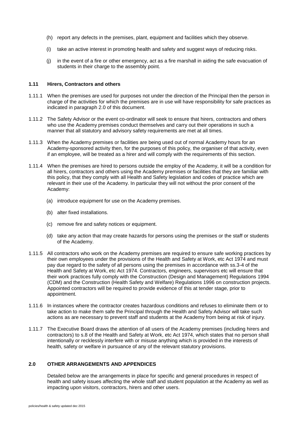- (h) report any defects in the premises, plant, equipment and facilities which they observe.
- (i) take an active interest in promoting health and safety and suggest ways of reducing risks.
- (j) in the event of a fire or other emergency, act as a fire marshall in aiding the safe evacuation of students in their charge to the assembly point.

#### **1.11 Hirers, Contractors and others**

- 1.11.1 When the premises are used for purposes not under the direction of the Principal then the person in charge of the activities for which the premises are in use will have responsibility for safe practices as indicated in paragraph 2.0 of this document.
- 1.11.2 The Safety Advisor or the event co-ordinator will seek to ensure that hirers, contractors and others who use the Academy premises conduct themselves and carry out their operations in such a manner that all statutory and advisory safety requirements are met at all times.
- 1.11.3 When the Academy premises or facilities are being used out of normal Academy hours for an Academy-sponsored activity then, for the purposes of this policy, the organiser of that activity, even if an employee, will be treated as a hirer and will comply with the requirements of this section.
- 1.11.4 When the premises are hired to persons outside the employ of the Academy, it will be a condition for all hirers, contractors and others using the Academy premises or facilities that they are familiar with this policy, that they comply with all Health and Safety legislation and codes of practice which are relevant in their use of the Academy. In particular they will not without the prior consent of the Academy:
	- (a) introduce equipment for use on the Academy premises.
	- (b) alter fixed installations.
	- (c) remove fire and safety notices or equipment.
	- (d) take any action that may create hazards for persons using the premises or the staff or students of the Academy.
- 1.11.5 All contractors who work on the Academy premises are required to ensure safe working practices by their own employees under the provisions of the Health and Safety at Work, etc Act 1974 and must pay due regard to the safety of all persons using the premises in accordance with ss.3-4 of the Health and Safety at Work, etc Act 1974. Contractors, engineers, supervisors etc will ensure that their work practices fully comply with the Construction (Design and Management) Regulations 1994 (CDM) and the Construction (Health Safety and Welfare) Regulations 1996 on construction projects. Appointed contractors will be required to provide evidence of this at tender stage, prior to appointment.
- 1.11.6 In instances where the contractor creates hazardous conditions and refuses to eliminate them or to take action to make them safe the Principal through the Health and Safety Advisor will take such actions as are necessary to prevent staff and students at the Academy from being at risk of injury.
- 1.11.7 The Executive Board draws the attention of all users of the Academy premises (including hirers and contractors) to s.8 of the Health and Safety at Work, etc Act 1974, which states that no person shall intentionally or recklessly interfere with or misuse anything which is provided in the interests of health, safety or welfare in pursuance of any of the relevant statutory provisions.

# **2.0 OTHER ARRANGEMENTS AND APPENDICES**

Detailed below are the arrangements in place for specific and general procedures in respect of health and safety issues affecting the whole staff and student population at the Academy as well as impacting upon visitors, contractors, hirers and other users.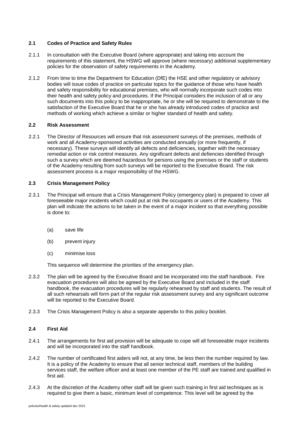# **2.1 Codes of Practice and Safety Rules**

- 2.1.1 In consultation with the Executive Board (where appropriate) and taking into account the requirements of this statement, the HSWG will approve (where necessary) additional supplementary policies for the observation of safety requirements in the Academy.
- 2.1.2 From time to time the Department for Education (DfE) the HSE and other regulatory or advisory bodies will issue codes of practice on particular topics for the guidance of those who have health and safety responsibility for educational premises, who will normally incorporate such codes into their health and safety policy and procedures. If the Principal considers the inclusion of all or any such documents into this policy to be inappropriate, he or she will be required to demonstrate to the satisfaction of the Executive Board that he or she has already introduced codes of practice and methods of working which achieve a similar or higher standard of health and safety.

#### **2.2 Risk Assessment**

2.2.1 The Director of Resources will ensure that risk assessment surveys of the premises, methods of work and all Academy-sponsored activities are conducted annually (or more frequently, if necessary). These surveys will identify all defects and deficiencies, together with the necessary remedial action or risk control measures. Any significant defects and defiencies identified through such a survey which are deemed hazardous for persons using the premises or the staff or students of the Academy resulting from such surveys will be reported to the Executive Board. The risk assessment process is a major responsibility of the HSWG.

# **2.3 Crisis Management Policy**

- 2.3.1 The Principal will ensure that a Crisis Management Policy (emergency plan) is prepared to cover all foreseeable major incidents which could put at risk the occupants or users of the Academy. This plan will indicate the actions to be taken in the event of a major incident so that everything possible is done to:
	- (a) save life
	- (b) prevent injury
	- (c) minimise loss

This sequence will determine the priorities of the emergency plan.

- 2.3.2 The plan will be agreed by the Executive Board and be incorporated into the staff handbook. Fire evacuation procedures will also be agreed by the Executive Board and included in the staff handbook, the evacuation procedures will be regularly rehearsed by staff and students. The result of all such rehearsals will form part of the regular risk assessment survey and any significant outcome will be reported to the Executive Board.
- 2.3.3 The Crisis Management Policy is also a separate appendix to this policy booklet.

### **2.4 First Aid**

- 2.4.1 The arrangements for first aid provision will be adequate to cope will all foreseeable major incidents and will be incorporated into the staff handbook.
- 2.4.2 The number of certificated first aiders will not, at any time, be less then the number required by law. It is a policy of the Academy to ensure that all senior technical staff, members of the building services staff, the welfare officer and at least one member of the PE staff are trained and qualified in first aid.
- 2.4.3 At the discretion of the Academy other staff will be given such training in first aid techniques as is required to give them a basic, minimum level of competence. This level will be agreed by the